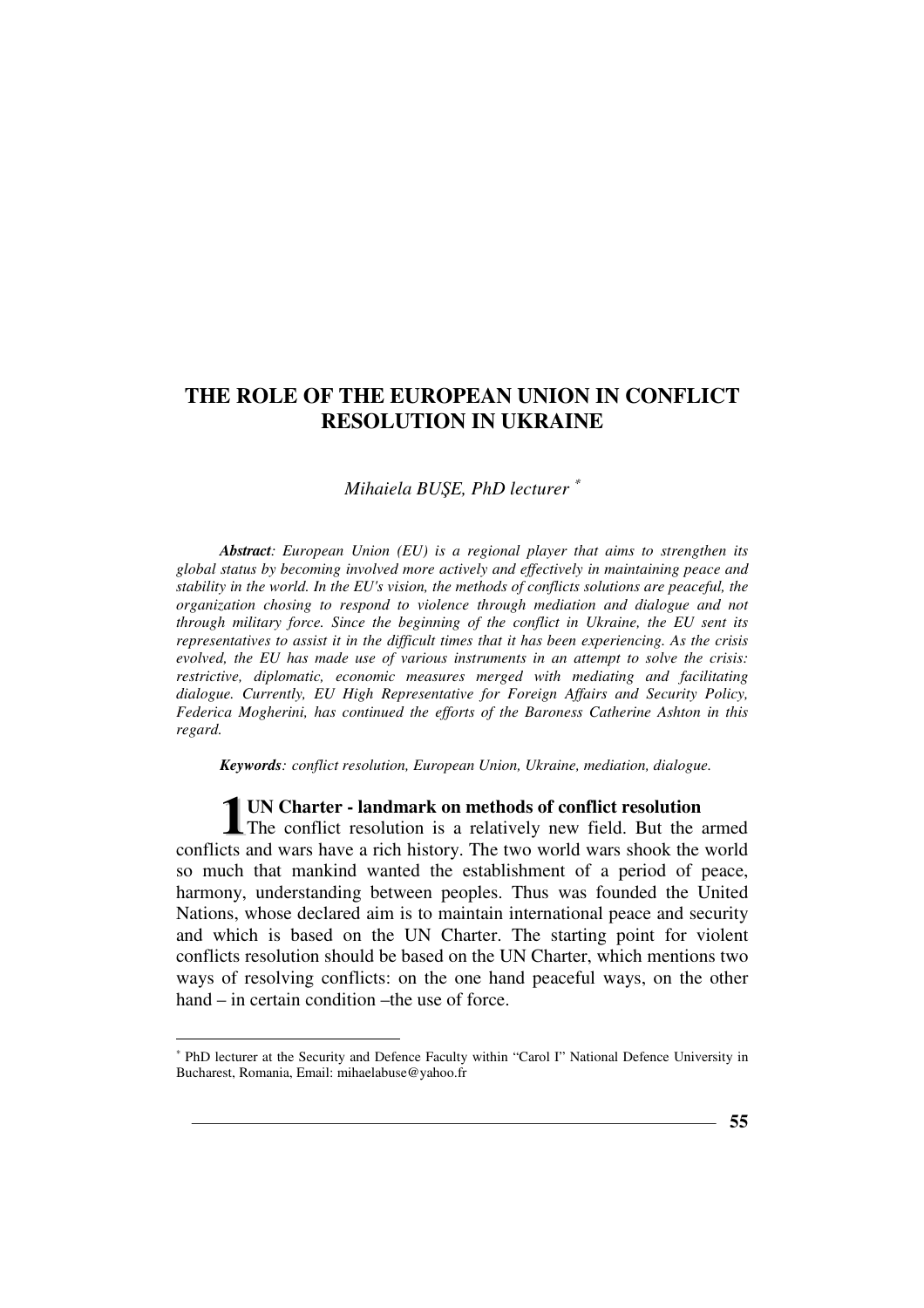## *Mihaiela BUŞE, PhD lecturer* <sup>∗</sup>

*Abstract: European Union (EU) is a regional player that aims to strengthen its global status by becoming involved more actively and effectively in maintaining peace and stability in the world. In the EU's vision, the methods of conflicts solutions are peaceful, the organization chosing to respond to violence through mediation and dialogue and not through military force. Since the beginning of the conflict in Ukraine, the EU sent its representatives to assist it in the difficult times that it has been experiencing. As the crisis evolved, the EU has made use of various instruments in an attempt to solve the crisis: restrictive, diplomatic, economic measures merged with mediating and facilitating dialogue. Currently, EU High Representative for Foreign Affairs and Security Policy, Federica Mogherini, has continued the efforts of the Baroness Catherine Ashton in this regard.* 

*Keywords: conflict resolution, European Union, Ukraine, mediation, dialogue.* 

**UN Charter - landmark on methods of conflict resolution 1 UN Charter - landmark on methods of conflict resolution**<br>The conflict resolution is a relatively new field. But the armed<br>at and wave have a right history. The two world wave shark the world conflicts and wars have a rich history. The two world wars shook the world so much that mankind wanted the establishment of a period of peace, harmony, understanding between peoples. Thus was founded the United Nations, whose declared aim is to maintain international peace and security and which is based on the UN Charter. The starting point for violent conflicts resolution should be based on the UN Charter, which mentions two ways of resolving conflicts: on the one hand peaceful ways, on the other hand – in certain condition – the use of force.

<sup>∗</sup> PhD lecturer at the Security and Defence Faculty within "Carol I" National Defence University in Bucharest, Romania, Email: mihaelabuse@yahoo.fr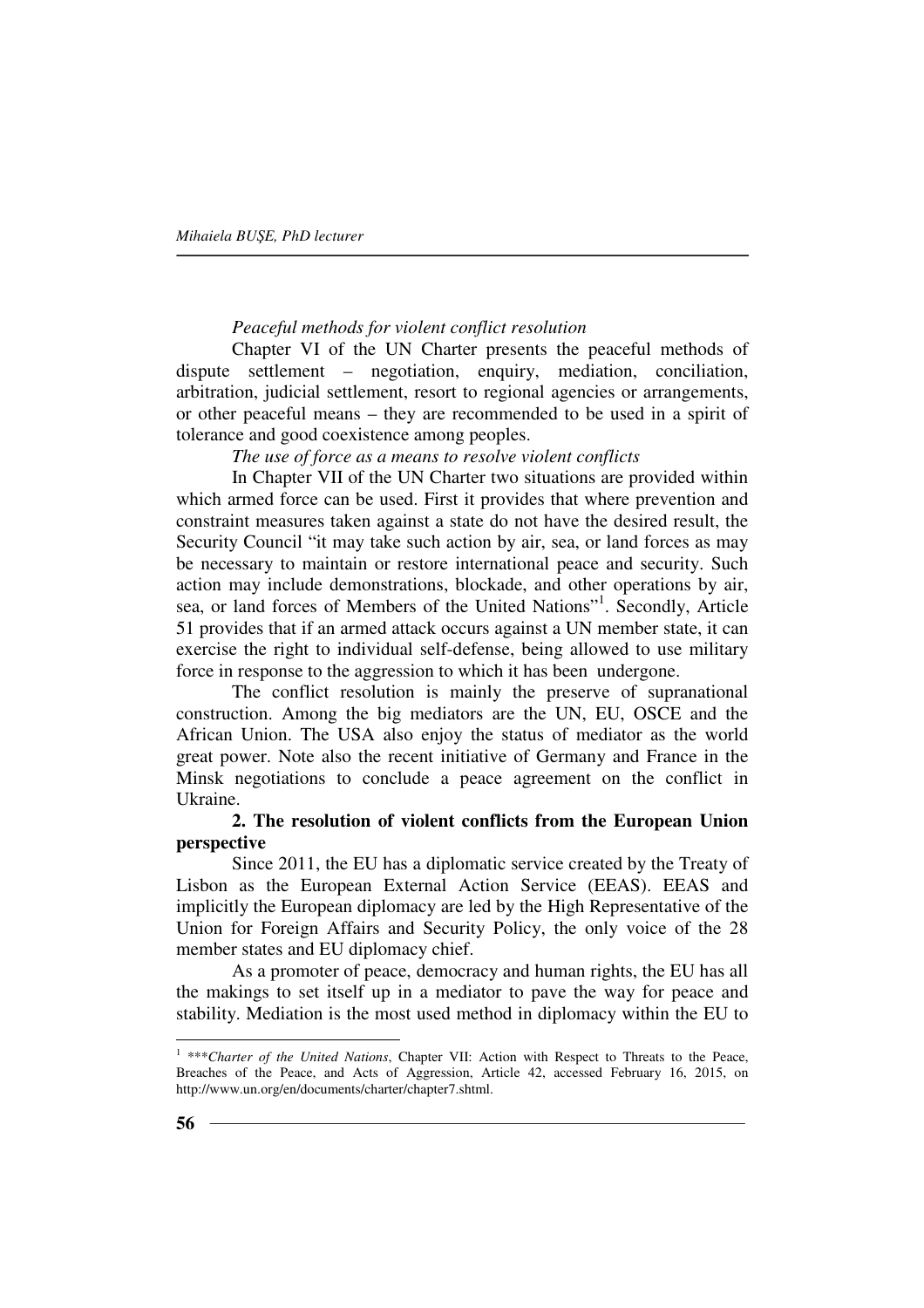### *Peaceful methods for violent conflict resolution*

Chapter VI of the UN Charter presents the peaceful methods of dispute settlement – negotiation, enquiry, mediation, conciliation, arbitration, judicial settlement, resort to regional agencies or arrangements, or other peaceful means – they are recommended to be used in a spirit of tolerance and good coexistence among peoples.

## *The use of force as a means to resolve violent conflicts*

In Chapter VII of the UN Charter two situations are provided within which armed force can be used. First it provides that where prevention and constraint measures taken against a state do not have the desired result, the Security Council "it may take such action by air, sea, or land forces as may be necessary to maintain or restore international peace and security. Such action may include demonstrations, blockade, and other operations by air, sea, or land forces of Members of the United Nations"<sup>1</sup>. Secondly, Article 51 provides that if an armed attack occurs against a UN member state, it can exercise the right to individual self-defense, being allowed to use military force in response to the aggression to which it has been undergone.

The conflict resolution is mainly the preserve of supranational construction. Among the big mediators are the UN, EU, OSCE and the African Union. The USA also enjoy the status of mediator as the world great power. Note also the recent initiative of Germany and France in the Minsk negotiations to conclude a peace agreement on the conflict in Ukraine.

# **2. The resolution of violent conflicts from the European Union perspective**

Since 2011, the EU has a diplomatic service created by the Treaty of Lisbon as the European External Action Service (EEAS). EEAS and implicitly the European diplomacy are led by the High Representative of the Union for Foreign Affairs and Security Policy, the only voice of the 28 member states and EU diplomacy chief.

As a promoter of peace, democracy and human rights, the EU has all the makings to set itself up in a mediator to pave the way for peace and stability. Mediation is the most used method in diplomacy within the EU to

<sup>&</sup>lt;sup>1</sup> \*\*\**Charter of the United Nations*, Chapter VII: Action with Respect to Threats to the Peace, Breaches of the Peace, and Acts of Aggression, Article 42, accessed February 16, 2015, on http://www.un.org/en/documents/charter/chapter7.shtml.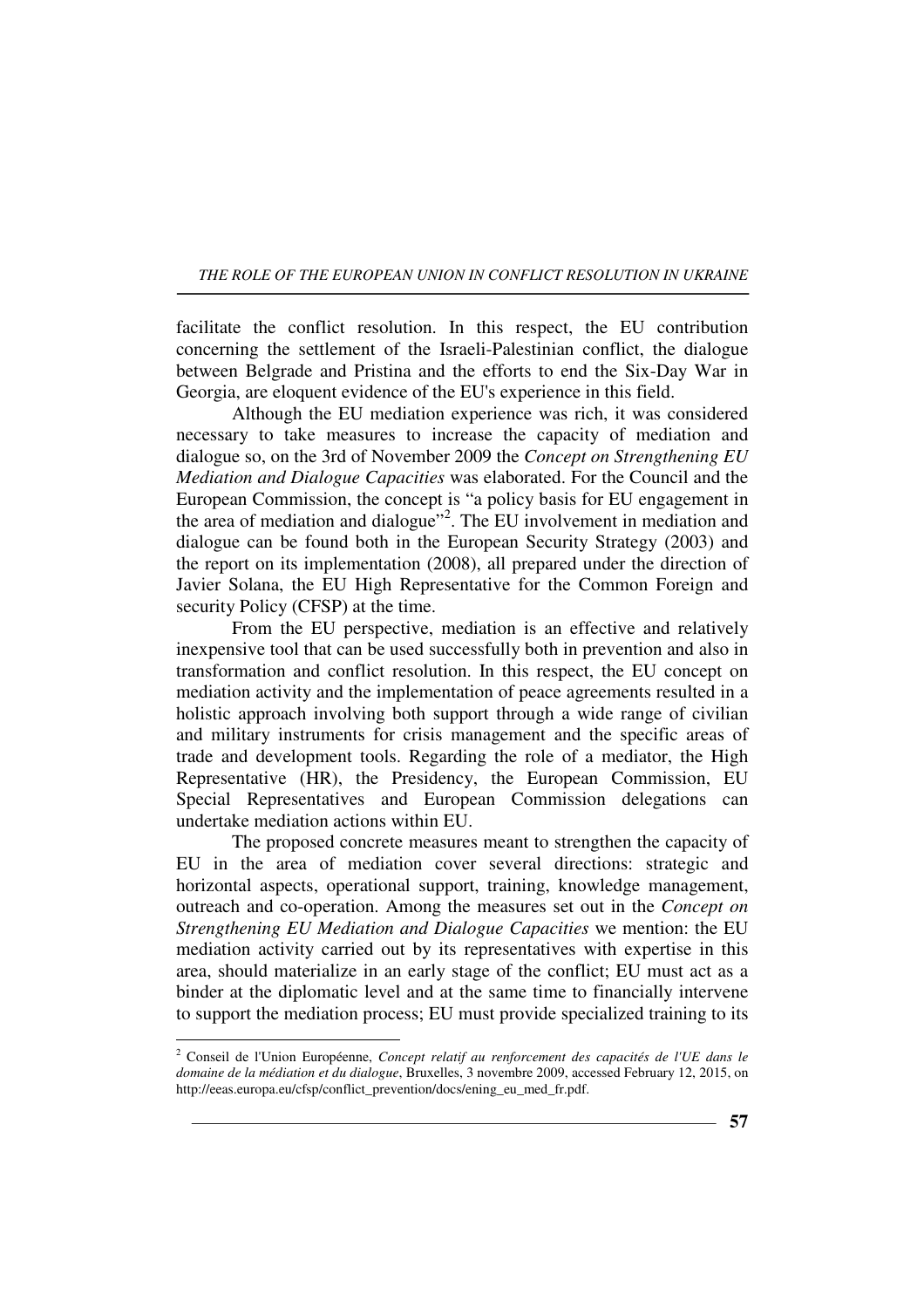facilitate the conflict resolution. In this respect, the EU contribution concerning the settlement of the Israeli-Palestinian conflict, the dialogue between Belgrade and Pristina and the efforts to end the Six-Day War in Georgia, are eloquent evidence of the EU's experience in this field.

Although the EU mediation experience was rich, it was considered necessary to take measures to increase the capacity of mediation and dialogue so, on the 3rd of November 2009 the *Concept on Strengthening EU Mediation and Dialogue Capacities* was elaborated. For the Council and the European Commission, the concept is "a policy basis for EU engagement in the area of mediation and dialogue"<sup>2</sup>. The EU involvement in mediation and dialogue can be found both in the European Security Strategy (2003) and the report on its implementation (2008), all prepared under the direction of Javier Solana, the EU High Representative for the Common Foreign and security Policy (CFSP) at the time.

From the EU perspective, mediation is an effective and relatively inexpensive tool that can be used successfully both in prevention and also in transformation and conflict resolution. In this respect, the EU concept on mediation activity and the implementation of peace agreements resulted in a holistic approach involving both support through a wide range of civilian and military instruments for crisis management and the specific areas of trade and development tools. Regarding the role of a mediator, the High Representative (HR), the Presidency, the European Commission, EU Special Representatives and European Commission delegations can undertake mediation actions within EU.

The proposed concrete measures meant to strengthen the capacity of EU in the area of mediation cover several directions: strategic and horizontal aspects, operational support, training, knowledge management, outreach and co-operation. Among the measures set out in the *Concept on Strengthening EU Mediation and Dialogue Capacities* we mention: the EU mediation activity carried out by its representatives with expertise in this area, should materialize in an early stage of the conflict; EU must act as a binder at the diplomatic level and at the same time to financially intervene to support the mediation process; EU must provide specialized training to its

 $\overline{a}$ 

**57**

<sup>2</sup> Conseil de l'Union Européenne, *Concept relatif au renforcement des capacités de l'UE dans le domaine de la médiation et du dialogue*, Bruxelles, 3 novembre 2009, accessed February 12, 2015, on http://eeas.europa.eu/cfsp/conflict\_prevention/docs/ening\_eu\_med\_fr.pdf.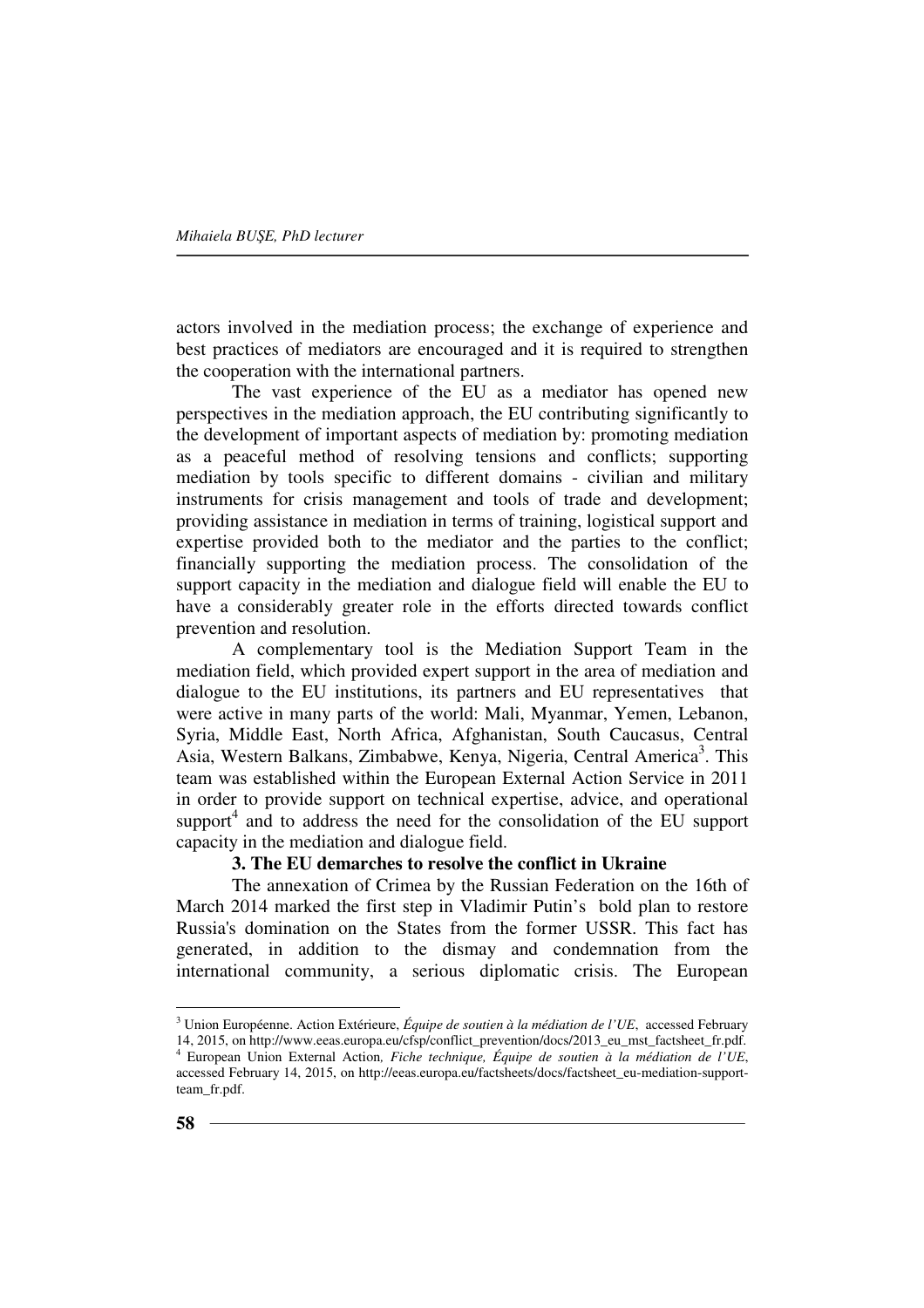actors involved in the mediation process; the exchange of experience and best practices of mediators are encouraged and it is required to strengthen the cooperation with the international partners.

The vast experience of the EU as a mediator has opened new perspectives in the mediation approach, the EU contributing significantly to the development of important aspects of mediation by: promoting mediation as a peaceful method of resolving tensions and conflicts; supporting mediation by tools specific to different domains - civilian and military instruments for crisis management and tools of trade and development; providing assistance in mediation in terms of training, logistical support and expertise provided both to the mediator and the parties to the conflict; financially supporting the mediation process. The consolidation of the support capacity in the mediation and dialogue field will enable the EU to have a considerably greater role in the efforts directed towards conflict prevention and resolution.

A complementary tool is the Mediation Support Team in the mediation field, which provided expert support in the area of mediation and dialogue to the EU institutions, its partners and EU representatives that were active in many parts of the world: Mali, Myanmar, Yemen, Lebanon, Syria, Middle East, North Africa, Afghanistan, South Caucasus, Central Asia, Western Balkans, Zimbabwe, Kenya, Nigeria, Central America<sup>3</sup>. This team was established within the European External Action Service in 2011 in order to provide support on technical expertise, advice, and operational support<sup>4</sup> and to address the need for the consolidation of the EU support capacity in the mediation and dialogue field.

# **3. The EU demarches to resolve the conflict in Ukraine**

The annexation of Crimea by the Russian Federation on the 16th of March 2014 marked the first step in Vladimir Putin's bold plan to restore Russia's domination on the States from the former USSR. This fact has generated, in addition to the dismay and condemnation from the international community, a serious diplomatic crisis. The European

<sup>3</sup> Union Européenne. Action Extérieure, *Équipe de soutien à la médiation de l'UE*, accessed February 14, 2015, on http://www.eeas.europa.eu/cfsp/conflict\_prevention/docs/2013\_eu\_mst\_factsheet\_fr.pdf. 4 European Union External Action*, Fiche technique, Équipe de soutien à la médiation de l'UE*,

accessed February 14, 2015, on http://eeas.europa.eu/factsheets/docs/factsheet\_eu-mediation-supportteam\_fr.pdf.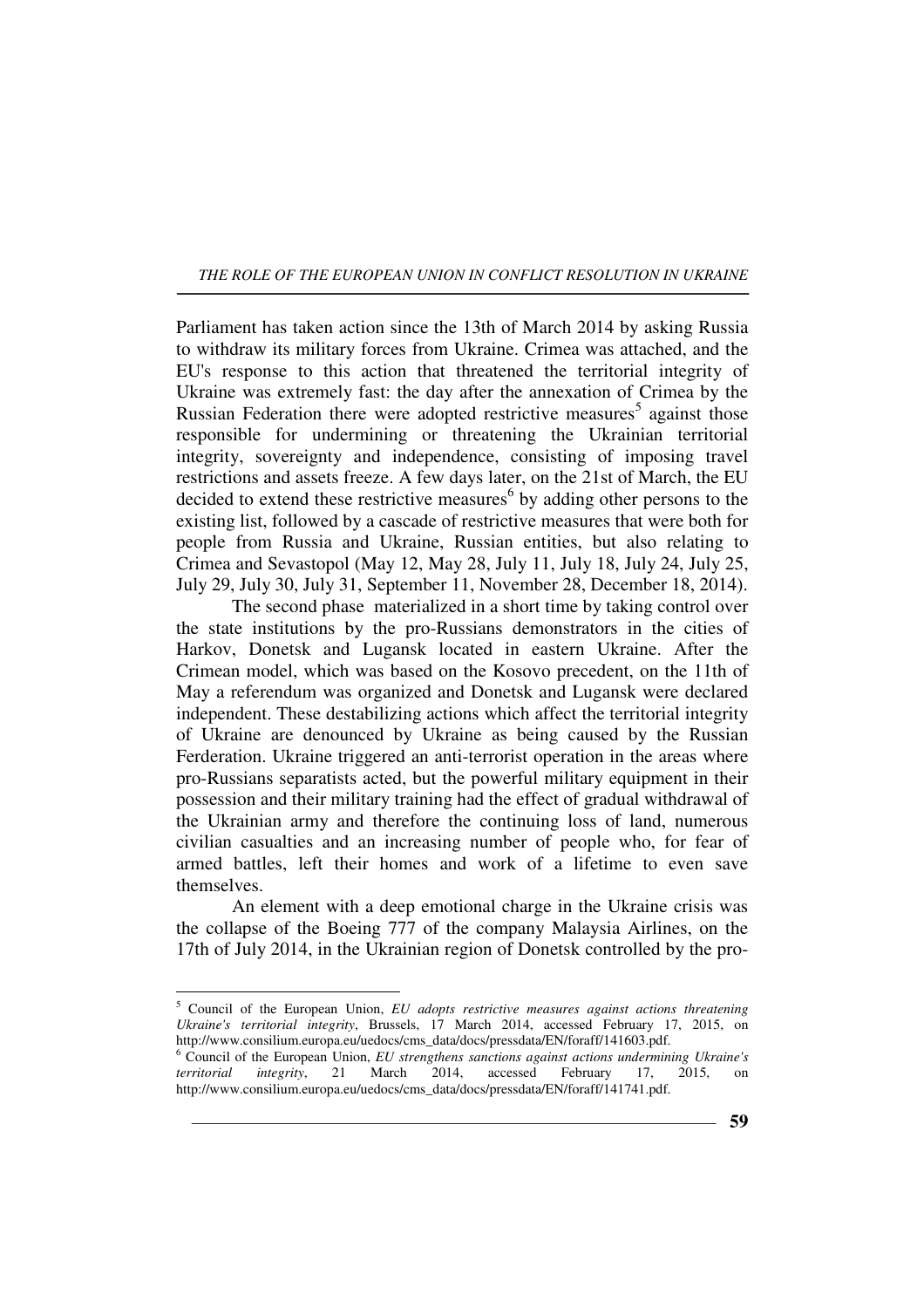Parliament has taken action since the 13th of March 2014 by asking Russia to withdraw its military forces from Ukraine. Crimea was attached, and the EU's response to this action that threatened the territorial integrity of Ukraine was extremely fast: the day after the annexation of Crimea by the Russian Federation there were adopted restrictive measures<sup>5</sup> against those responsible for undermining or threatening the Ukrainian territorial integrity, sovereignty and independence, consisting of imposing travel restrictions and assets freeze. A few days later, on the 21st of March, the EU decided to extend these restrictive measures<sup>6</sup> by adding other persons to the existing list, followed by a cascade of restrictive measures that were both for people from Russia and Ukraine, Russian entities, but also relating to Crimea and Sevastopol (May 12, May 28, July 11, July 18, July 24, July 25, July 29, July 30, July 31, September 11, November 28, December 18, 2014).

The second phase materialized in a short time by taking control over the state institutions by the pro-Russians demonstrators in the cities of Harkov, Donetsk and Lugansk located in eastern Ukraine. After the Crimean model, which was based on the Kosovo precedent, on the 11th of May a referendum was organized and Donetsk and Lugansk were declared independent. These destabilizing actions which affect the territorial integrity of Ukraine are denounced by Ukraine as being caused by the Russian Ferderation. Ukraine triggered an anti-terrorist operation in the areas where pro-Russians separatists acted, but the powerful military equipment in their possession and their military training had the effect of gradual withdrawal of the Ukrainian army and therefore the continuing loss of land, numerous civilian casualties and an increasing number of people who, for fear of armed battles, left their homes and work of a lifetime to even save themselves.

An element with a deep emotional charge in the Ukraine crisis was the collapse of the Boeing 777 of the company Malaysia Airlines, on the 17th of July 2014, in the Ukrainian region of Donetsk controlled by the pro-

<sup>5</sup> Council of the European Union, *EU adopts restrictive measures against actions threatening Ukraine's territorial integrity*, Brussels, 17 March 2014, accessed February 17, 2015, on http://www.consilium.europa.eu/uedocs/cms\_data/docs/pressdata/EN/foraff/141603.pdf.

<sup>&</sup>lt;sup>6</sup> Council of the European Union, *EU strengthens sanctions against actions undermining Ukraine's territorial integrity*, 21 March 2014, accessed February 17, 2015, on http://www.consilium.europa.eu/uedocs/cms\_data/docs/pressdata/EN/foraff/141741.pdf.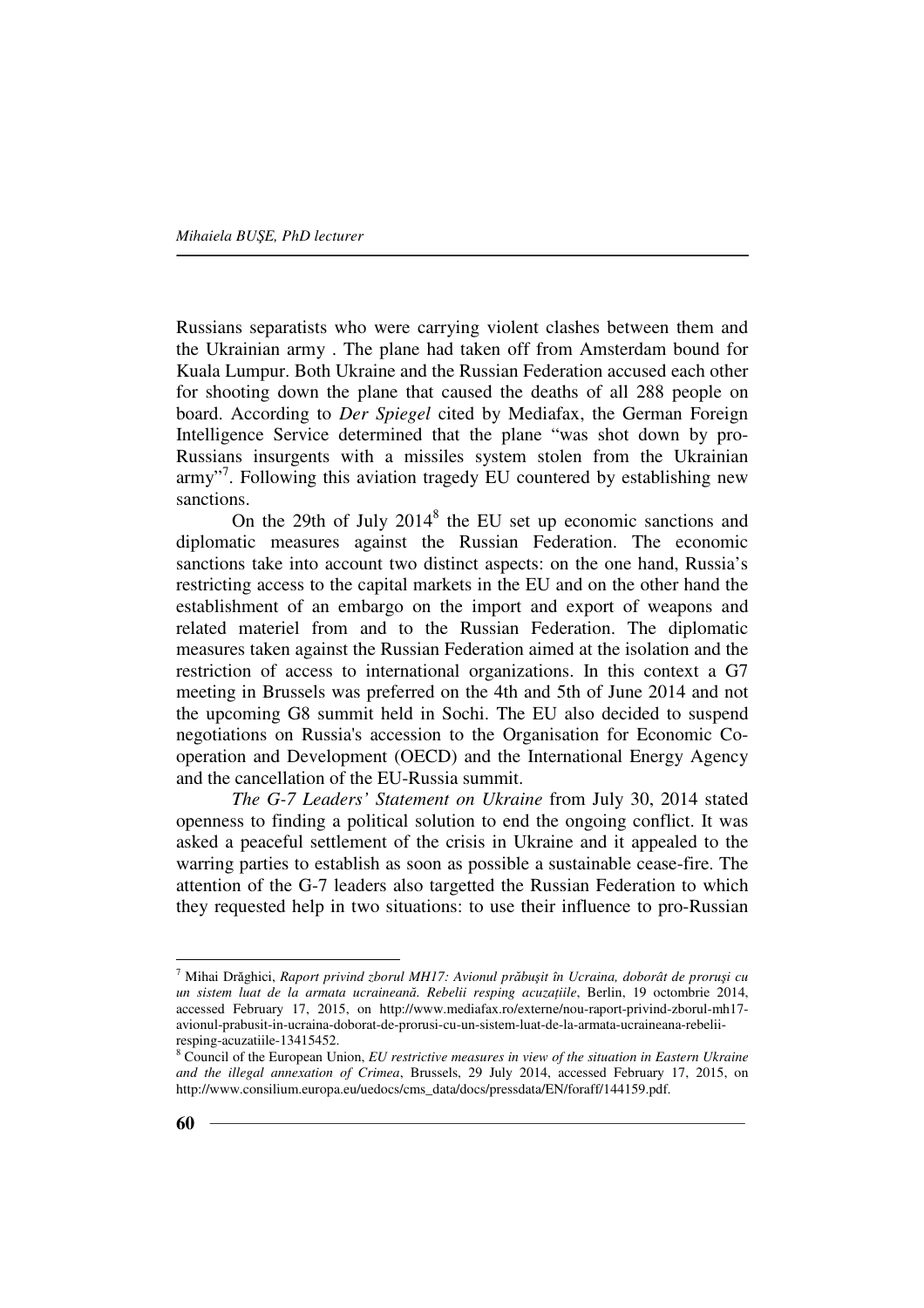Russians separatists who were carrying violent clashes between them and the Ukrainian army . The plane had taken off from Amsterdam bound for Kuala Lumpur. Both Ukraine and the Russian Federation accused each other for shooting down the plane that caused the deaths of all 288 people on board. According to *Der Spiegel* cited by Mediafax, the German Foreign Intelligence Service determined that the plane "was shot down by pro-Russians insurgents with a missiles system stolen from the Ukrainian army"<sup>7</sup>. Following this aviation tragedy EU countered by establishing new sanctions.

On the 29th of July  $2014<sup>8</sup>$  the EU set up economic sanctions and diplomatic measures against the Russian Federation. The economic sanctions take into account two distinct aspects: on the one hand, Russia's restricting access to the capital markets in the EU and on the other hand the establishment of an embargo on the import and export of weapons and related materiel from and to the Russian Federation. The diplomatic measures taken against the Russian Federation aimed at the isolation and the restriction of access to international organizations. In this context a G7 meeting in Brussels was preferred on the 4th and 5th of June 2014 and not the upcoming G8 summit held in Sochi. The EU also decided to suspend negotiations on Russia's accession to the Organisation for Economic Cooperation and Development (OECD) and the International Energy Agency and the cancellation of the EU-Russia summit.

*The G-7 Leaders' Statement on Ukraine* from July 30, 2014 stated openness to finding a political solution to end the ongoing conflict. It was asked a peaceful settlement of the crisis in Ukraine and it appealed to the warring parties to establish as soon as possible a sustainable cease-fire. The attention of the G-7 leaders also targetted the Russian Federation to which they requested help in two situations: to use their influence to pro-Russian

<sup>7</sup> Mihai Drăghici, *Raport privind zborul MH17: Avionul prăbuşit în Ucraina, doborât de proruşi cu un sistem luat de la armata ucraineană. Rebelii resping acuzaŃiile*, Berlin, 19 octombrie 2014, accessed February 17, 2015, on http://www.mediafax.ro/externe/nou-raport-privind-zborul-mh17 avionul-prabusit-in-ucraina-doborat-de-prorusi-cu-un-sistem-luat-de-la-armata-ucraineana-rebeliiresping-acuzatiile-13415452.

<sup>8</sup> Council of the European Union, *EU restrictive measures in view of the situation in Eastern Ukraine and the illegal annexation of Crimea*, Brussels, 29 July 2014, accessed February 17, 2015, on http://www.consilium.europa.eu/uedocs/cms\_data/docs/pressdata/EN/foraff/144159.pdf.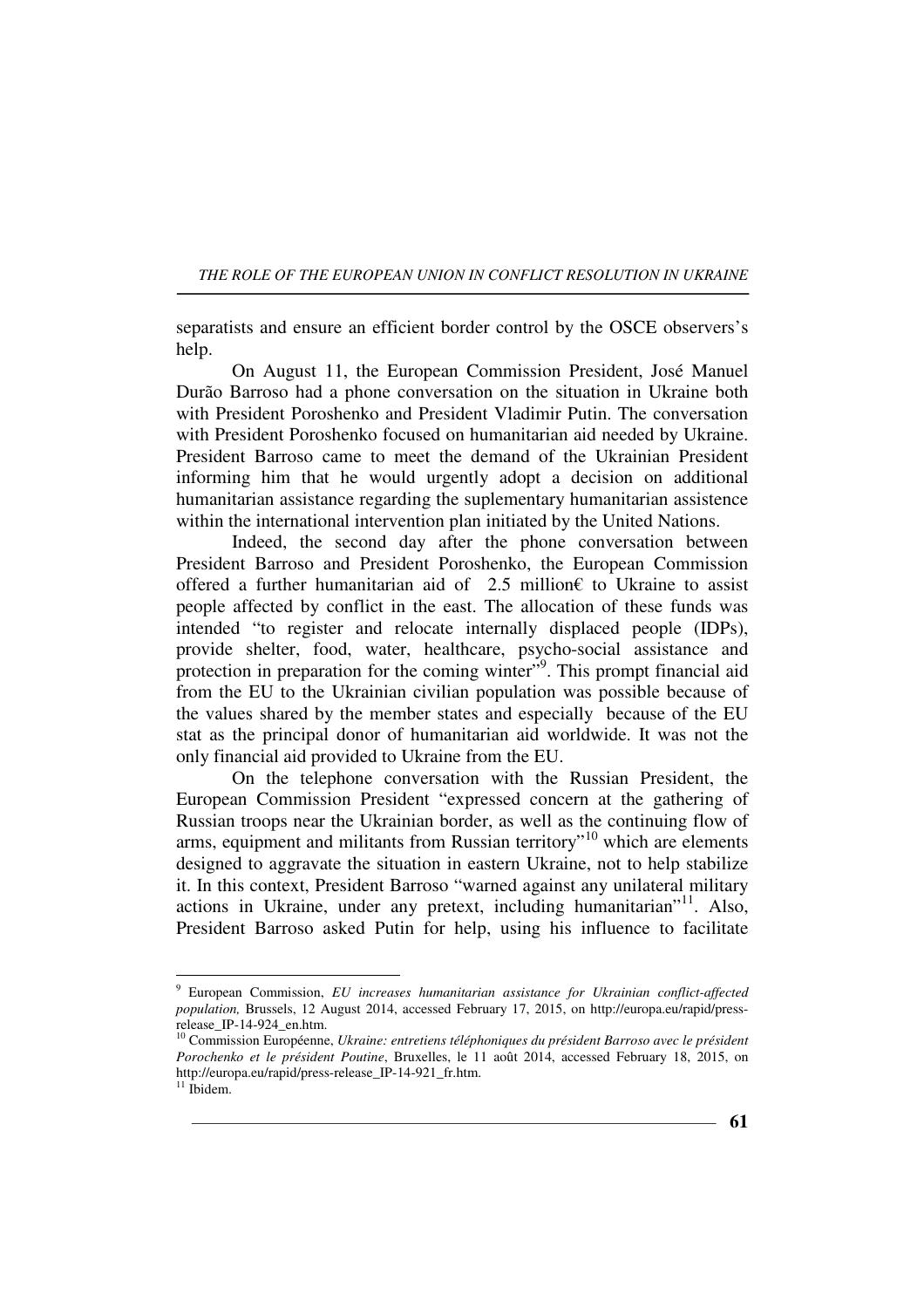separatists and ensure an efficient border control by the OSCE observers's help.

On August 11, the European Commission President, José Manuel Durão Barroso had a phone conversation on the situation in Ukraine both with President Poroshenko and President Vladimir Putin. The conversation with President Poroshenko focused on humanitarian aid needed by Ukraine. President Barroso came to meet the demand of the Ukrainian President informing him that he would urgently adopt a decision on additional humanitarian assistance regarding the suplementary humanitarian assistence within the international intervention plan initiated by the United Nations.

Indeed, the second day after the phone conversation between President Barroso and President Poroshenko, the European Commission offered a further humanitarian aid of 2.5 million€ to Ukraine to assist people affected by conflict in the east. The allocation of these funds was intended "to register and relocate internally displaced people (IDPs), provide shelter, food, water, healthcare, psycho-social assistance and protection in preparation for the coming winter"<sup>9</sup>. This prompt financial aid from the EU to the Ukrainian civilian population was possible because of the values shared by the member states and especially because of the EU stat as the principal donor of humanitarian aid worldwide. It was not the only financial aid provided to Ukraine from the EU.

On the telephone conversation with the Russian President, the European Commission President "expressed concern at the gathering of Russian troops near the Ukrainian border, as well as the continuing flow of arms, equipment and militants from Russian territory<sup> $10$ </sup> which are elements designed to aggravate the situation in eastern Ukraine, not to help stabilize it. In this context, President Barroso "warned against any unilateral military actions in Ukraine, under any pretext, including humanitarian"<sup>11</sup>. Also, President Barroso asked Putin for help, using his influence to facilitate

<sup>9</sup> European Commission, *EU increases humanitarian assistance for Ukrainian conflict-affected population,* Brussels, 12 August 2014, accessed February 17, 2015, on http://europa.eu/rapid/pressrelease\_IP-14-924\_en.htm.

<sup>10</sup> Commission Européenne, *Ukraine: entretiens téléphoniques du président Barroso avec le président Porochenko et le président Poutine*, Bruxelles, le 11 août 2014, accessed February 18, 2015, on http://europa.eu/rapid/press-release\_IP-14-921\_fr.htm.

 $11$  Ibidem.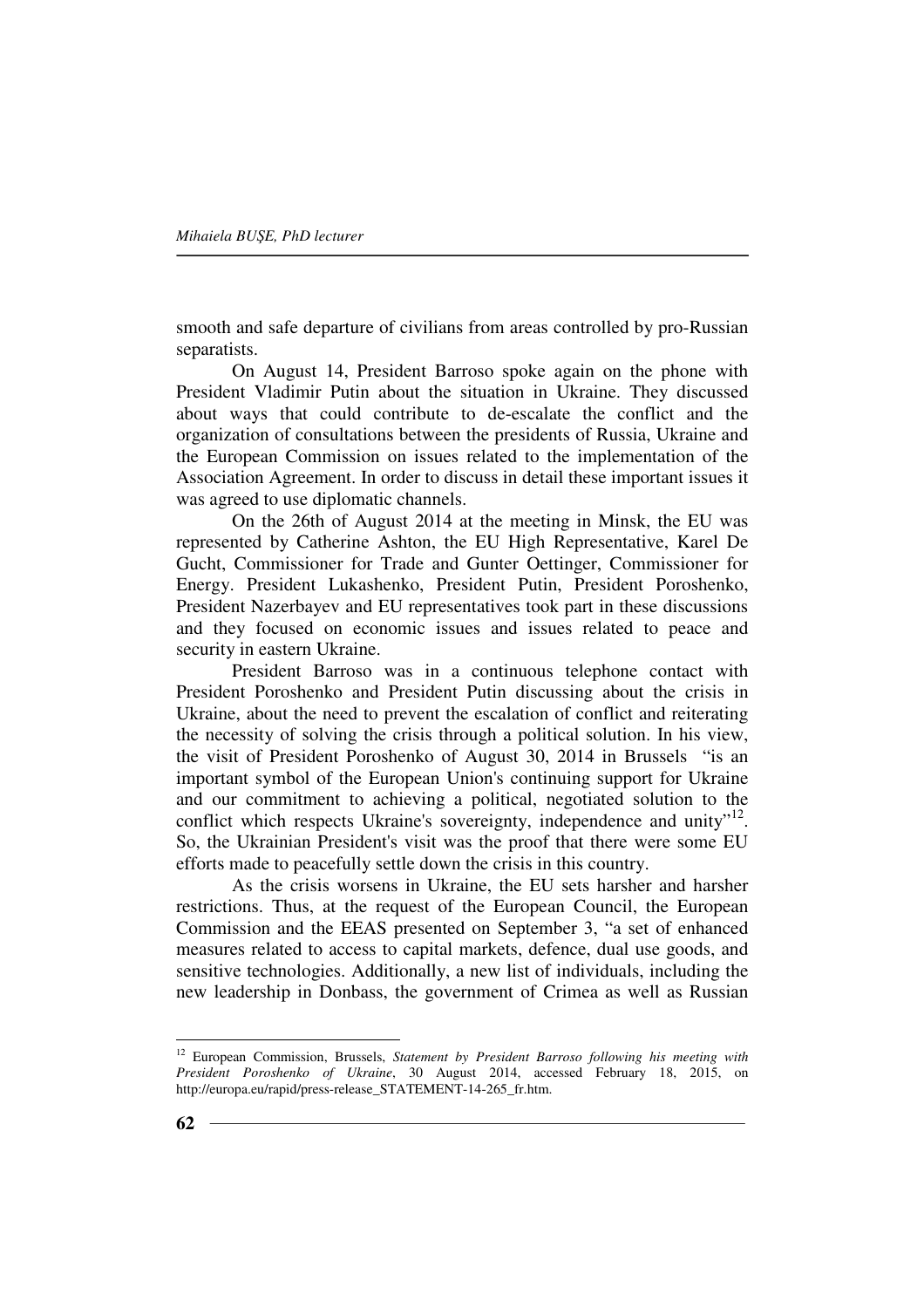smooth and safe departure of civilians from areas controlled by pro-Russian separatists.

On August 14, President Barroso spoke again on the phone with President Vladimir Putin about the situation in Ukraine. They discussed about ways that could contribute to de-escalate the conflict and the organization of consultations between the presidents of Russia, Ukraine and the European Commission on issues related to the implementation of the Association Agreement. In order to discuss in detail these important issues it was agreed to use diplomatic channels.

On the 26th of August 2014 at the meeting in Minsk, the EU was represented by Catherine Ashton, the EU High Representative, Karel De Gucht, Commissioner for Trade and Gunter Oettinger, Commissioner for Energy. President Lukashenko, President Putin, President Poroshenko, President Nazerbayev and EU representatives took part in these discussions and they focused on economic issues and issues related to peace and security in eastern Ukraine.

President Barroso was in a continuous telephone contact with President Poroshenko and President Putin discussing about the crisis in Ukraine, about the need to prevent the escalation of conflict and reiterating the necessity of solving the crisis through a political solution. In his view, the visit of President Poroshenko of August 30, 2014 in Brussels "is an important symbol of the European Union's continuing support for Ukraine and our commitment to achieving a political, negotiated solution to the conflict which respects Ukraine's sovereignty, independence and unity"<sup>12</sup>. So, the Ukrainian President's visit was the proof that there were some EU efforts made to peacefully settle down the crisis in this country.

As the crisis worsens in Ukraine, the EU sets harsher and harsher restrictions. Thus, at the request of the European Council, the European Commission and the EEAS presented on September 3, "a set of enhanced measures related to access to capital markets, defence, dual use goods, and sensitive technologies. Additionally, a new list of individuals, including the new leadership in Donbass, the government of Crimea as well as Russian

<sup>12</sup> European Commission, Brussels, *Statement by President Barroso following his meeting with President Poroshenko of Ukraine*, 30 August 2014, accessed February 18, 2015, on http://europa.eu/rapid/press-release\_STATEMENT-14-265\_fr.htm.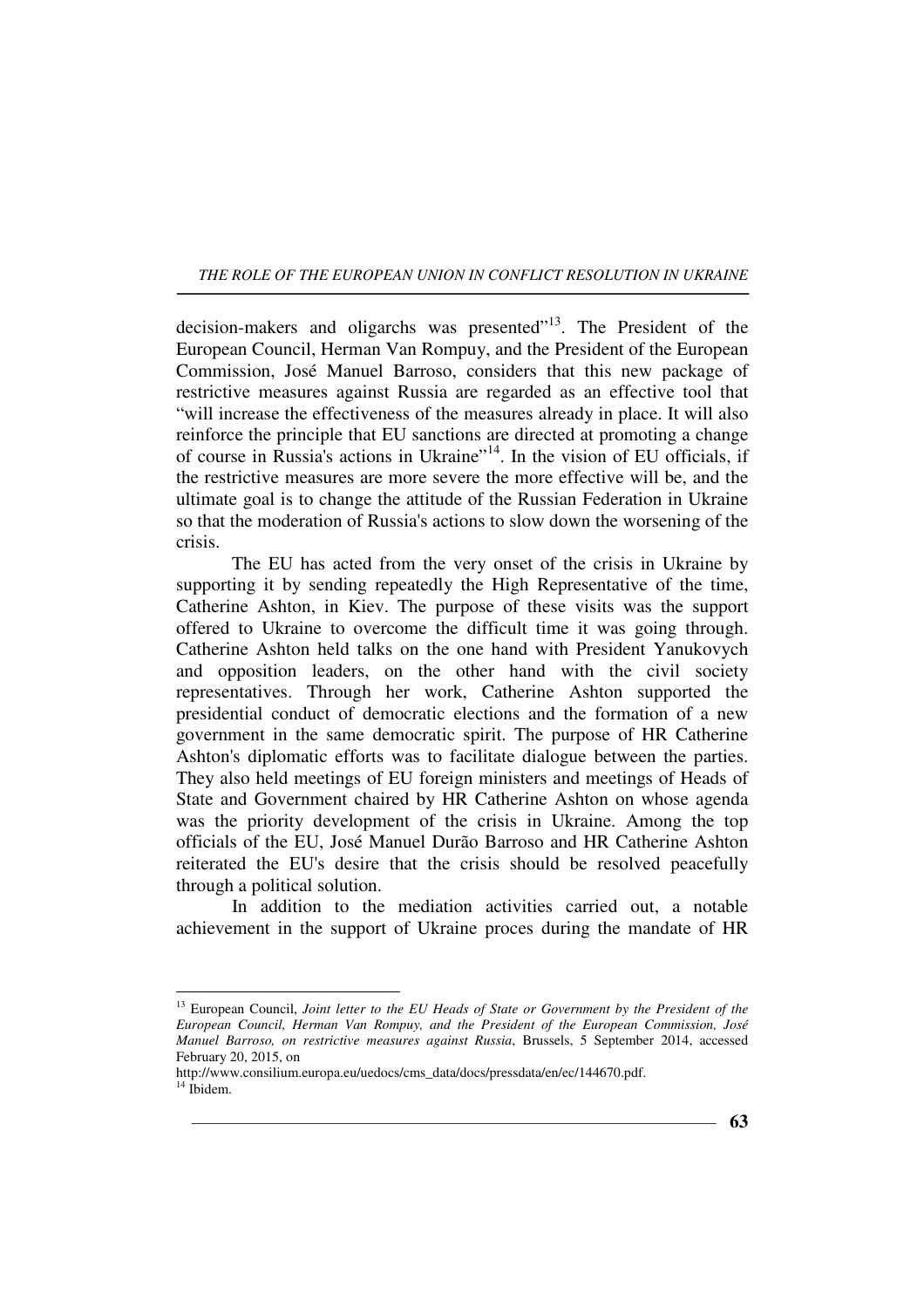decision-makers and oligarchs was presented"<sup>13</sup>. The President of the European Council, Herman Van Rompuy, and the President of the European Commission, José Manuel Barroso, considers that this new package of restrictive measures against Russia are regarded as an effective tool that "will increase the effectiveness of the measures already in place. It will also reinforce the principle that EU sanctions are directed at promoting a change of course in Russia's actions in Ukraine"<sup>14</sup>. In the vision of EU officials, if the restrictive measures are more severe the more effective will be, and the ultimate goal is to change the attitude of the Russian Federation in Ukraine so that the moderation of Russia's actions to slow down the worsening of the crisis.

The EU has acted from the very onset of the crisis in Ukraine by supporting it by sending repeatedly the High Representative of the time, Catherine Ashton, in Kiev. The purpose of these visits was the support offered to Ukraine to overcome the difficult time it was going through. Catherine Ashton held talks on the one hand with President Yanukovych and opposition leaders, on the other hand with the civil society representatives. Through her work, Catherine Ashton supported the presidential conduct of democratic elections and the formation of a new government in the same democratic spirit. The purpose of HR Catherine Ashton's diplomatic efforts was to facilitate dialogue between the parties. They also held meetings of EU foreign ministers and meetings of Heads of State and Government chaired by HR Catherine Ashton on whose agenda was the priority development of the crisis in Ukraine. Among the top officials of the EU, José Manuel Durão Barroso and HR Catherine Ashton reiterated the EU's desire that the crisis should be resolved peacefully through a political solution.

In addition to the mediation activities carried out, a notable achievement in the support of Ukraine proces during the mandate of HR

<sup>&</sup>lt;sup>13</sup> European Council, *Joint letter to the EU Heads of State or Government by the President of the European Council, Herman Van Rompuy, and the President of the European Commission, José Manuel Barroso, on restrictive measures against Russia*, Brussels, 5 September 2014, accessed February 20, 2015, on

http://www.consilium.europa.eu/uedocs/cms\_data/docs/pressdata/en/ec/144670.pdf. <sup>14</sup> Ibidem.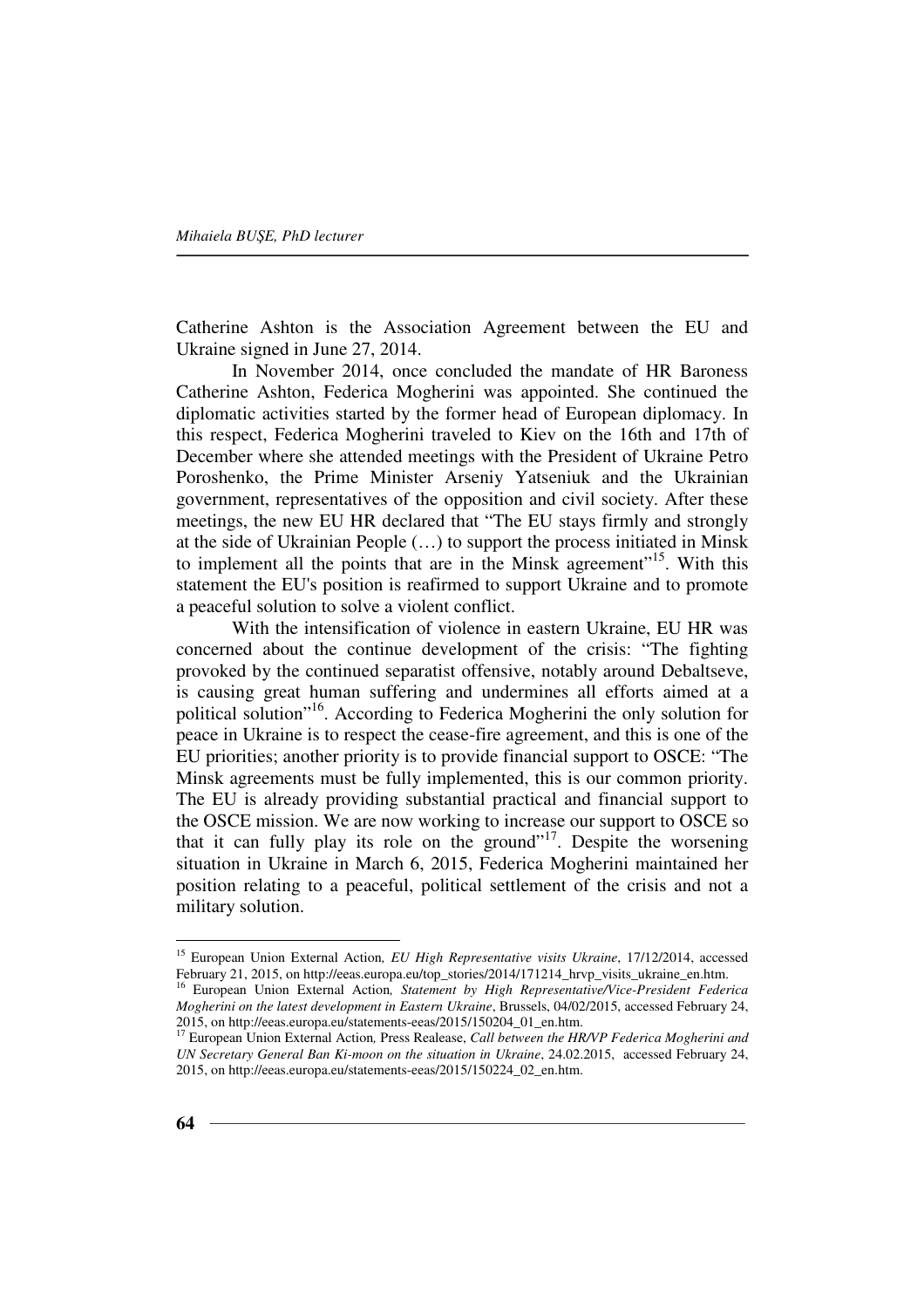Catherine Ashton is the Association Agreement between the EU and Ukraine signed in June 27, 2014.

In November 2014, once concluded the mandate of HR Baroness Catherine Ashton, Federica Mogherini was appointed. She continued the diplomatic activities started by the former head of European diplomacy. In this respect, Federica Mogherini traveled to Kiev on the 16th and 17th of December where she attended meetings with the President of Ukraine Petro Poroshenko, the Prime Minister Arseniy Yatseniuk and the Ukrainian government, representatives of the opposition and civil society. After these meetings, the new EU HR declared that "The EU stays firmly and strongly at the side of Ukrainian People (…) to support the process initiated in Minsk to implement all the points that are in the Minsk agreement"<sup>15</sup>. With this statement the EU's position is reafirmed to support Ukraine and to promote a peaceful solution to solve a violent conflict.

With the intensification of violence in eastern Ukraine, EU HR was concerned about the continue development of the crisis: "The fighting provoked by the continued separatist offensive, notably around Debaltseve, is causing great human suffering and undermines all efforts aimed at a political solution"<sup>16</sup>. According to Federica Mogherini the only solution for peace in Ukraine is to respect the cease-fire agreement, and this is one of the EU priorities; another priority is to provide financial support to OSCE: "The Minsk agreements must be fully implemented, this is our common priority. The EU is already providing substantial practical and financial support to the OSCE mission. We are now working to increase our support to OSCE so that it can fully play its role on the ground"<sup>17</sup>. Despite the worsening situation in Ukraine in March 6, 2015, Federica Mogherini maintained her position relating to a peaceful, political settlement of the crisis and not a military solution.

<sup>15</sup> European Union External Action*, EU High Representative visits Ukraine*, 17/12/2014, accessed February 21, 2015, on http://eeas.europa.eu/top\_stories/2014/171214\_hrvp\_visits\_ukraine\_en.htm.

<sup>16</sup> European Union External Action*, Statement by High Representative/Vice-President Federica Mogherini on the latest development in Eastern Ukraine*, Brussels, 04/02/2015, accessed February 24, 2015, on http://eeas.europa.eu/statements-eeas/2015/150204\_01\_en.htm.

<sup>17</sup> European Union External Action*,* Press Realease, *Call between the HR/VP Federica Mogherini and UN Secretary General Ban Ki-moon on the situation in Ukraine*, 24.02.2015, accessed February 24, 2015, on http://eeas.europa.eu/statements-eeas/2015/150224\_02\_en.htm.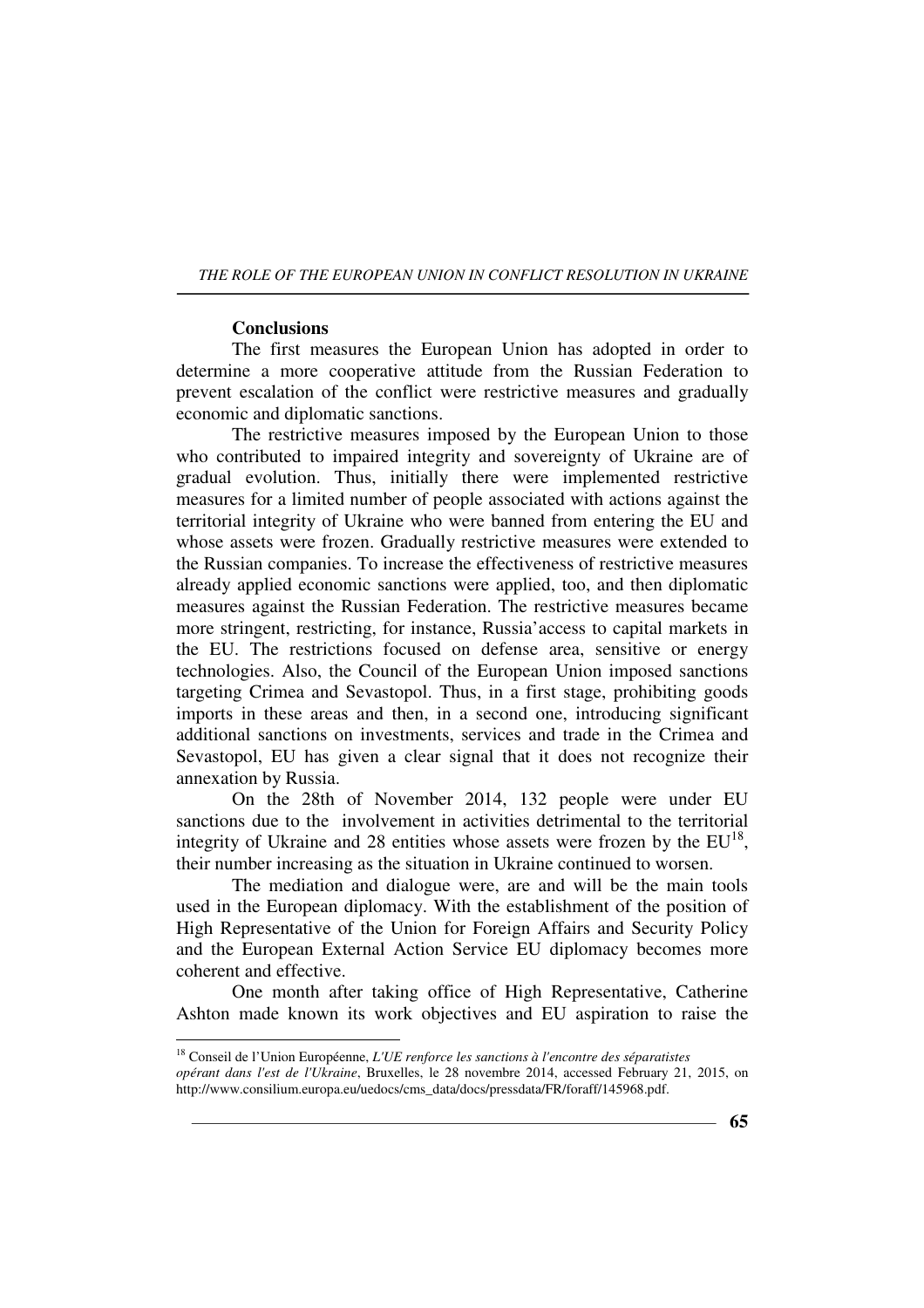### **Conclusions**

 $\overline{a}$ 

The first measures the European Union has adopted in order to determine a more cooperative attitude from the Russian Federation to prevent escalation of the conflict were restrictive measures and gradually economic and diplomatic sanctions.

The restrictive measures imposed by the European Union to those who contributed to impaired integrity and sovereignty of Ukraine are of gradual evolution. Thus, initially there were implemented restrictive measures for a limited number of people associated with actions against the territorial integrity of Ukraine who were banned from entering the EU and whose assets were frozen. Gradually restrictive measures were extended to the Russian companies. To increase the effectiveness of restrictive measures already applied economic sanctions were applied, too, and then diplomatic measures against the Russian Federation. The restrictive measures became more stringent, restricting, for instance, Russia'access to capital markets in the EU. The restrictions focused on defense area, sensitive or energy technologies. Also, the Council of the European Union imposed sanctions targeting Crimea and Sevastopol. Thus, in a first stage, prohibiting goods imports in these areas and then, in a second one, introducing significant additional sanctions on investments, services and trade in the Crimea and Sevastopol, EU has given a clear signal that it does not recognize their annexation by Russia.

On the 28th of November 2014, 132 people were under EU sanctions due to the involvement in activities detrimental to the territorial integrity of Ukraine and 28 entities whose assets were frozen by the  $EU^{18}$ , their number increasing as the situation in Ukraine continued to worsen.

The mediation and dialogue were, are and will be the main tools used in the European diplomacy. With the establishment of the position of High Representative of the Union for Foreign Affairs and Security Policy and the European External Action Service EU diplomacy becomes more coherent and effective.

One month after taking office of High Representative, Catherine Ashton made known its work objectives and EU aspiration to raise the

<sup>18</sup> Conseil de l'Union Européenne, *L'UE renforce les sanctions à l'encontre des séparatistes opérant dans l'est de l'Ukraine*, Bruxelles, le 28 novembre 2014, accessed February 21, 2015, on http://www.consilium.europa.eu/uedocs/cms\_data/docs/pressdata/FR/foraff/145968.pdf.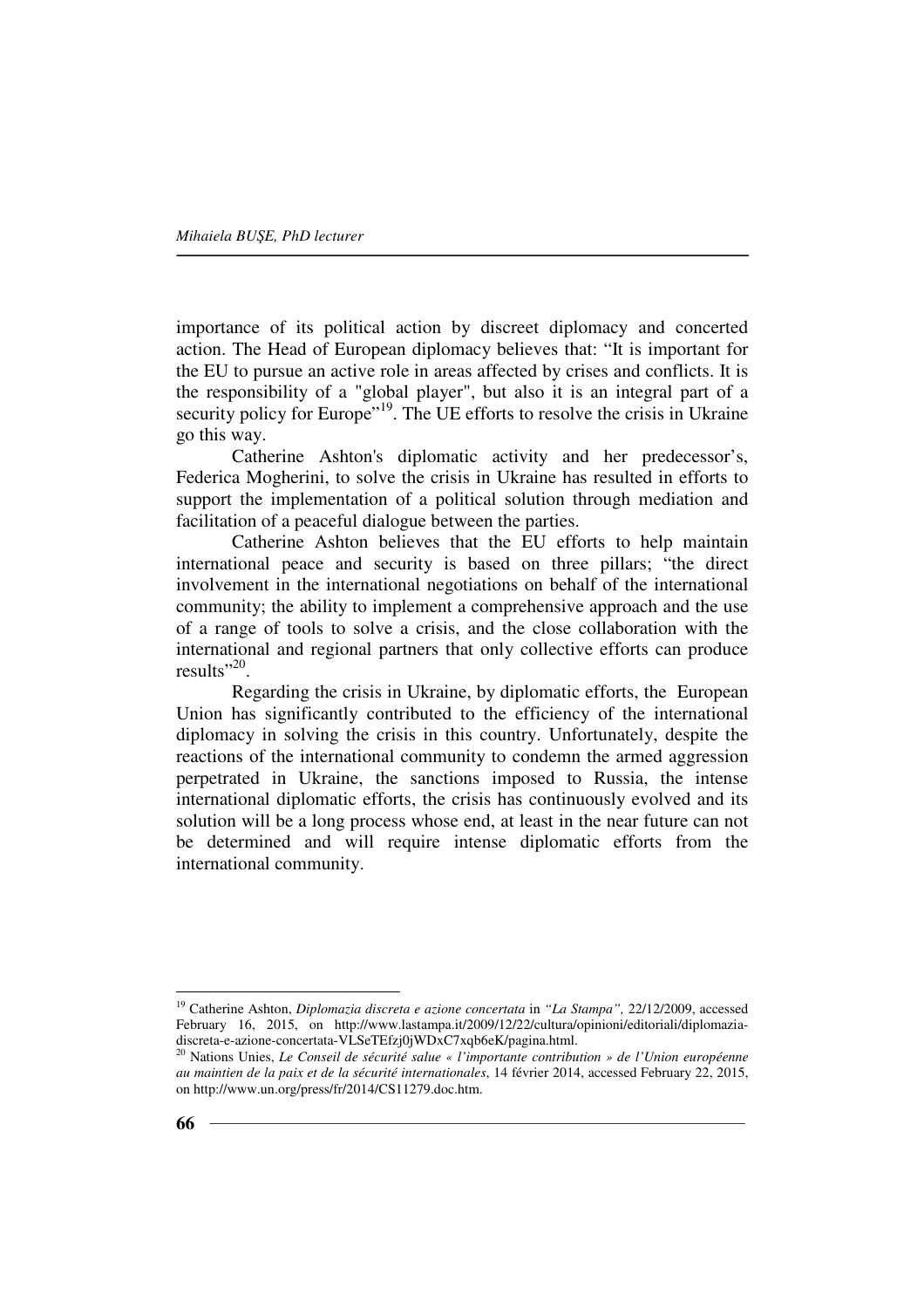importance of its political action by discreet diplomacy and concerted action. The Head of European diplomacy believes that: "It is important for the EU to pursue an active role in areas affected by crises and conflicts. It is the responsibility of a "global player", but also it is an integral part of a security policy for Europe<sup>"19</sup>. The UE efforts to resolve the crisis in Ukraine go this way.

Catherine Ashton's diplomatic activity and her predecessor's, Federica Mogherini, to solve the crisis in Ukraine has resulted in efforts to support the implementation of a political solution through mediation and facilitation of a peaceful dialogue between the parties.

Catherine Ashton believes that the EU efforts to help maintain international peace and security is based on three pillars; "the direct involvement in the international negotiations on behalf of the international community; the ability to implement a comprehensive approach and the use of a range of tools to solve a crisis, and the close collaboration with the international and regional partners that only collective efforts can produce results"<sup>20</sup>.

Regarding the crisis in Ukraine, by diplomatic efforts, the European Union has significantly contributed to the efficiency of the international diplomacy in solving the crisis in this country. Unfortunately, despite the reactions of the international community to condemn the armed aggression perpetrated in Ukraine, the sanctions imposed to Russia, the intense international diplomatic efforts, the crisis has continuously evolved and its solution will be a long process whose end, at least in the near future can not be determined and will require intense diplomatic efforts from the international community.

<sup>19</sup> Catherine Ashton, *Diplomazia discreta e azione concertata* in *"La Stampa",* 22/12/2009, accessed February 16, 2015, on http://www.lastampa.it/2009/12/22/cultura/opinioni/editoriali/diplomaziadiscreta-e-azione-concertata-VLSeTEfzj0jWDxC7xqb6eK/pagina.html.

<sup>20</sup> Nations Unies, *Le Conseil de sécurité salue « l'importante contribution » de l'Union européenne au maintien de la paix et de la sécurité internationales*, 14 février 2014, accessed February 22, 2015, on http://www.un.org/press/fr/2014/CS11279.doc.htm.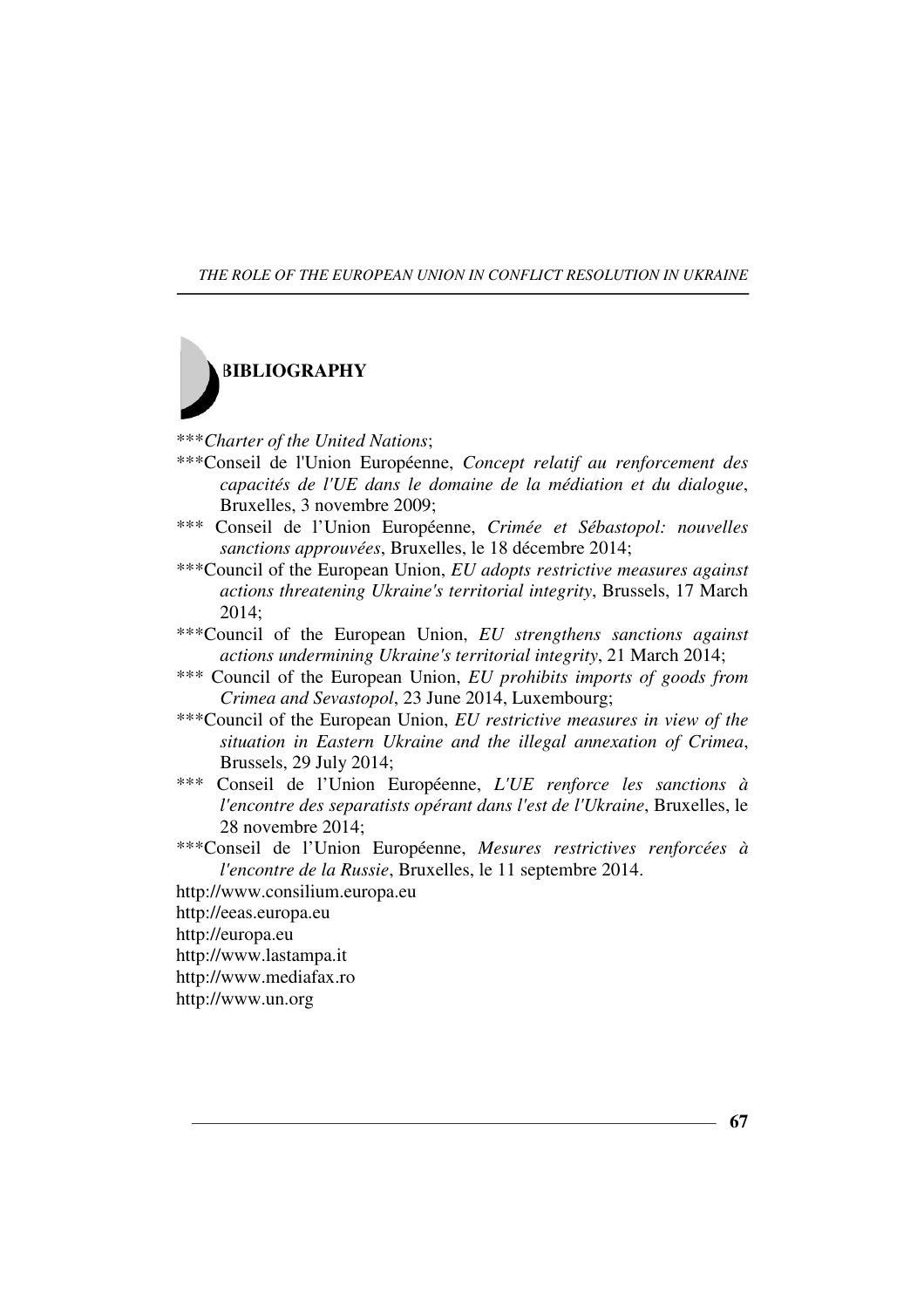

\*\*\**Charter of the United Nations*;

- \*\*\*Conseil de l'Union Européenne, *Concept relatif au renforcement des capacités de l'UE dans le domaine de la médiation et du dialogue*, Bruxelles, 3 novembre 2009;
- \*\*\* Conseil de l'Union Européenne, *Crimée et Sébastopol: nouvelles sanctions approuvées*, Bruxelles, le 18 décembre 2014;
- \*\*\*Council of the European Union, *EU adopts restrictive measures against actions threatening Ukraine's territorial integrity*, Brussels, 17 March 2014;
- \*\*\*Council of the European Union, *EU strengthens sanctions against actions undermining Ukraine's territorial integrity*, 21 March 2014;
- \*\*\* Council of the European Union, *EU prohibits imports of goods from Crimea and Sevastopol*, 23 June 2014, Luxembourg;
- \*\*\*Council of the European Union, *EU restrictive measures in view of the situation in Eastern Ukraine and the illegal annexation of Crimea*, Brussels, 29 July 2014;
- \*\*\* Conseil de l'Union Européenne, *L'UE renforce les sanctions à l'encontre des separatists opérant dans l'est de l'Ukraine*, Bruxelles, le 28 novembre 2014;
- \*\*\*Conseil de l'Union Européenne, *Mesures restrictives renforcées à l'encontre de la Russie*, Bruxelles, le 11 septembre 2014.
- http://www.consilium.europa.eu
- http://eeas.europa.eu
- http://europa.eu
- http://www.lastampa.it
- http://www.mediafax.ro
- http://www.un.org

**67**